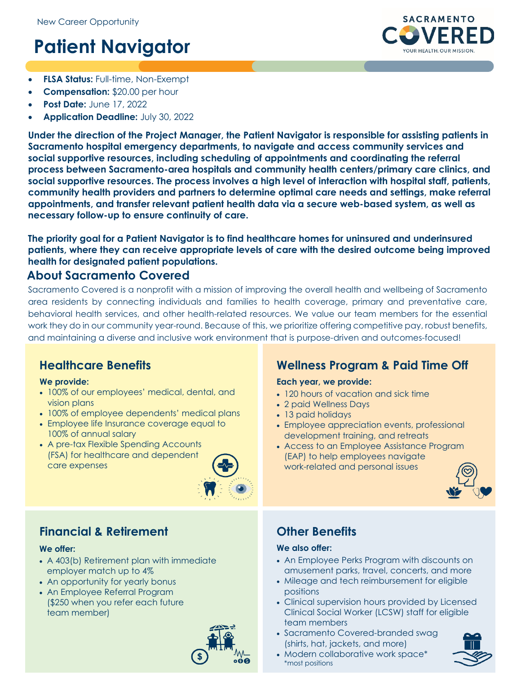# **Patient Navigator**



- **FLSA Status:** Full-time, Non-Exempt
- **Compensation:** \$20.00 per hour
- **Post Date:** June 17, 2022
- **Application Deadline:** July 30, 2022

**Under the direction of the Project Manager, the Patient Navigator is responsible for assisting patients in Sacramento hospital emergency departments, to navigate and access community services and social supportive resources, including scheduling of appointments and coordinating the referral process between Sacramento-area hospitals and community health centers/primary care clinics, and social supportive resources. The process involves a high level of interaction with hospital staff, patients, community health providers and partners to determine optimal care needs and settings, make referral appointments, and transfer relevant patient health data via a secure web-based system, as well as necessary follow-up to ensure continuity of care.**

**The priority goal for a Patient Navigator is to find healthcare homes for uninsured and underinsured patients, where they can receive appropriate levels of care with the desired outcome being improved health for designated patient populations.**

### **About Sacramento Covered**

Sacramento Covered is a nonprofit with a mission of improving the overall health and wellbeing of Sacramento area residents by connecting individuals and families to health coverage, primary and preventative care, behavioral health services, and other health-related resources. We value our team members for the essential work they do in our community year-round. Because of this, we prioritize offering competitive pay, robust benefits, and maintaining a diverse and inclusive work environment that is purpose-driven and outcomes-focused!

### **Healthcare Benefits**

### **We provide:**

- 100% of our employees' medical, dental, and vision plans
- 100% of employee dependents' medical plans
- Employee life Insurance coverage equal to 100% of annual salary
- A pre-tax Flexible Spending Accounts (FSA) for healthcare and dependent care expenses



# **Financial & Retirement**

### **We offer:**

- A 403(b) Retirement plan with immediate employer match up to 4%
- An opportunity for yearly bonus
- An Employee Referral Program (\$250 when you refer each future team member)



# **Wellness Program & Paid Time Off**

### **Each year, we provide:**

- 120 hours of vacation and sick time
- 2 paid Wellness Days
- 13 paid holidays
- Employee appreciation events, professional development training, and retreats
- Access to an Employee Assistance Program (EAP) to help employees navigate work-related and personal issues



# **Other Benefits**

### **We also offer:**

- An Employee Perks Program with discounts on amusement parks, travel, concerts, and more
- Mileage and tech reimbursement for eligible positions
- Clinical supervision hours provided by Licensed Clinical Social Worker (LCSW) staff for eligible team members
- Sacramento Covered-branded swag (shirts, hat, jackets, and more)
- Modern collaborative work space\* \*most positions

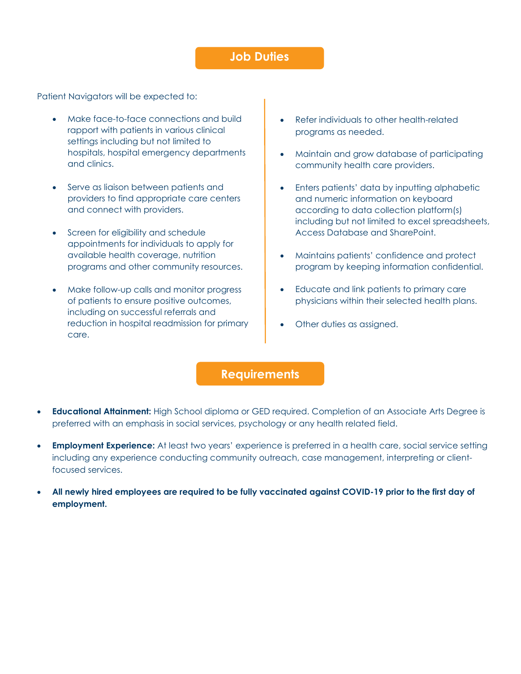### **Job Duties**

Patient Navigators will be expected to:

- Make face-to-face connections and build rapport with patients in various clinical settings including but not limited to hospitals, hospital emergency departments and clinics.
- Serve as liaison between patients and providers to find appropriate care centers and connect with providers.
- Screen for eligibility and schedule appointments for individuals to apply for available health coverage, nutrition programs and other community resources.
- Make follow-up calls and monitor progress of patients to ensure positive outcomes, including on successful referrals and reduction in hospital readmission for primary care.
- Refer individuals to other health-related programs as needed.
- Maintain and grow database of participating community health care providers.
- Enters patients' data by inputting alphabetic and numeric information on keyboard according to data collection platform(s) including but not limited to excel spreadsheets, Access Database and SharePoint.
- Maintains patients' confidence and protect program by keeping information confidential.
- Educate and link patients to primary care physicians within their selected health plans.
- Other duties as assigned.

### **Requirements**

- **Educational Attainment:** High School diploma or GED required. Completion of an Associate Arts Degree is preferred with an emphasis in social services, psychology or any health related field.
- **Employment Experience:** At least two years' experience is preferred in a health care, social service setting including any experience conducting community outreach, case management, interpreting or clientfocused services.
- **All newly hired employees are required to be fully vaccinated against COVID-19 prior to the first day of employment.**